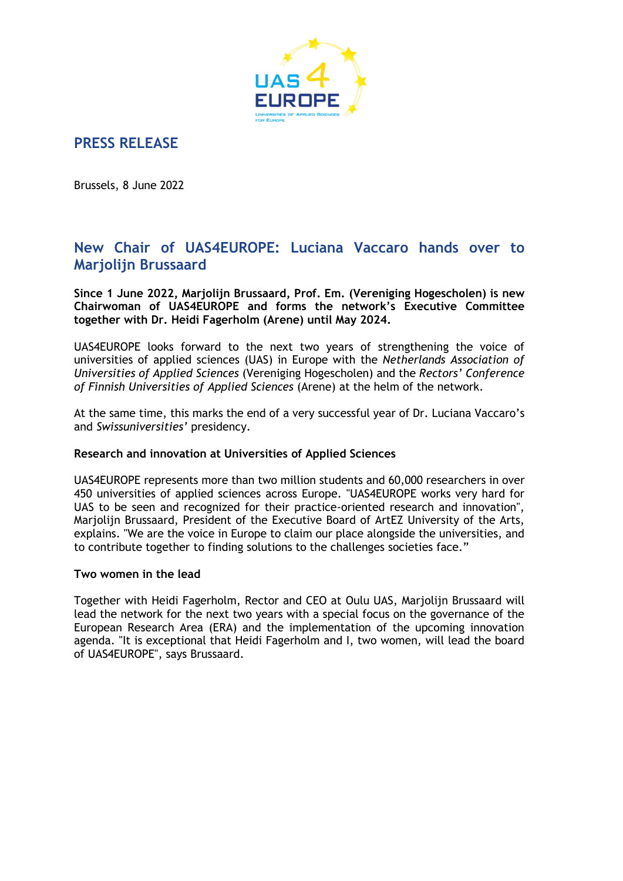

## **PRESS RELEASE**

Brussels, 8 June 2022

## **New Chair of UAS4EUROPE: Luciana Vaccaro hands over to Marjolijn Brussaard**

**Since 1 June 2022, Marjolijn Brussaard, Prof. Em. (Vereniging Hogescholen) is new Chairwoman of UAS4EUROPE and forms the network's Executive Committee together with Dr. Heidi Fagerholm (Arene) until May 2024.** 

UAS4EUROPE looks forward to the next two years of strengthening the voice of universities of applied sciences (UAS) in Europe with the *Netherlands Association of Universities of Applied Sciences* (Vereniging Hogescholen) and the *Rectors' Conference of Finnish Universities of Applied Sciences* (Arene) at the helm of the network.

At the same time, this marks the end of a very successful year of Dr. Luciana Vaccaro's and *Swissuniversities'* presidency.

### **Research and innovation at Universities of Applied Sciences**

UAS4EUROPE represents more than two million students and 60,000 researchers in over 450 universities of applied sciences across Europe. "UAS4EUROPE works very hard for UAS to be seen and recognized for their practice-oriented research and innovation", Marjolijn Brussaard, President of the Executive Board of ArtEZ University of the Arts, explains. "We are the voice in Europe to claim our place alongside the universities, and to contribute together to finding solutions to the challenges societies face."

#### **Two women in the lead**

Together with Heidi Fagerholm, Rector and CEO at Oulu UAS, Marjolijn Brussaard will lead the network for the next two years with a special focus on the governance of the European Research Area (ERA) and the implementation of the upcoming innovation agenda. "It is exceptional that Heidi Fagerholm and I, two women, will lead the board of UAS4EUROPE", says Brussaard.